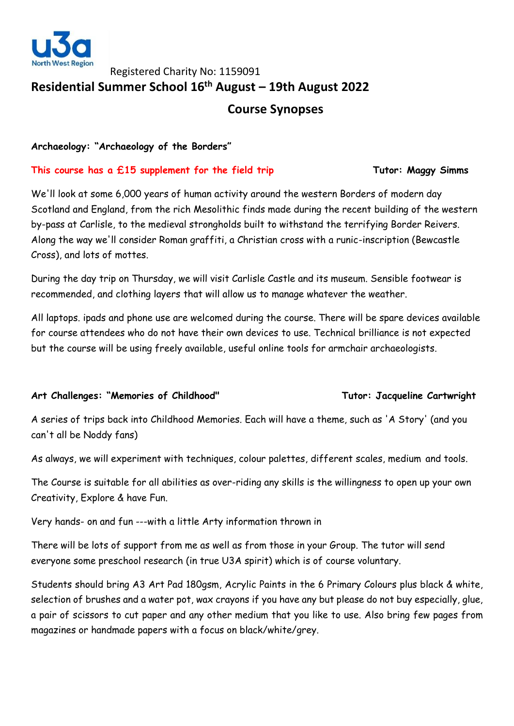

# Registered Charity No: 1159091 **Residential Summer School 16 th August – 19th August 2022 Course Synopses**

**Archaeology: "Archaeology of the Borders"**

### **This course has a £15 supplement for the field trip Tutor: Maggy Simms**

We'll look at some 6,000 years of human activity around the western Borders of modern day Scotland and England, from the rich Mesolithic finds made during the recent building of the western by-pass at Carlisle, to the medieval strongholds built to withstand the terrifying Border Reivers. Along the way we'll consider Roman graffiti, a Christian cross with a runic-inscription (Bewcastle Cross), and lots of mottes.

During the day trip on Thursday, we will visit Carlisle Castle and its museum. Sensible footwear is recommended, and clothing layers that will allow us to manage whatever the weather.

All laptops. ipads and phone use are welcomed during the course. There will be spare devices available for course attendees who do not have their own devices to use. Technical brilliance is not expected but the course will be using freely available, useful online tools for armchair archaeologists.

# **Art Challenges: "Memories of Childhood" Tutor: Jacqueline Cartwright**

A series of trips back into Childhood Memories. Each will have a theme, such as 'A Story' (and you can't all be Noddy fans)

As always, we will experiment with techniques, colour palettes, different scales, medium and tools.

The Course is suitable for all abilities as over-riding any skills is the willingness to open up your own Creativity, Explore & have Fun.

Very hands- on and fun ---with a little Arty information thrown in

There will be lots of support from me as well as from those in your Group. The tutor will send everyone some preschool research (in true U3A spirit) which is of course voluntary.

Students should bring A3 Art Pad 180gsm, Acrylic Paints in the 6 Primary Colours plus black & white, selection of brushes and a water pot, wax crayons if you have any but please do not buy especially, glue, a pair of scissors to cut paper and any other medium that you like to use. Also bring few pages from magazines or handmade papers with a focus on black/white/grey.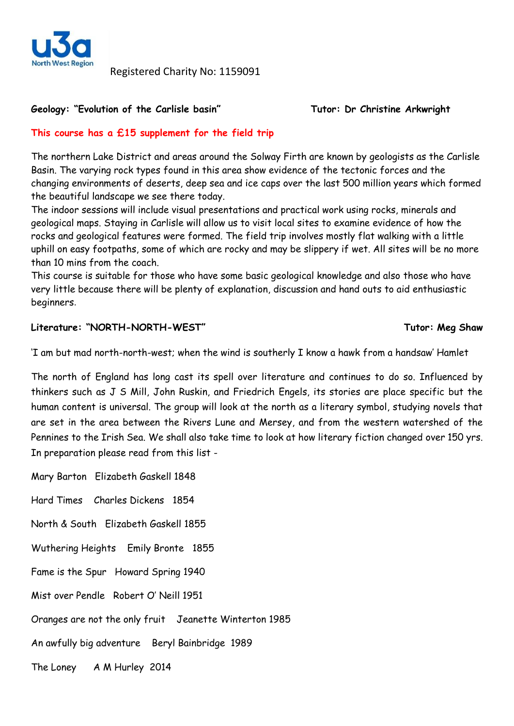

Registered Charity No: 1159091

### **Geology: "Evolution of the Carlisle basin" Tutor: Dr Christine Arkwright**

# **This course has a £15 supplement for the field trip**

The northern Lake District and areas around the Solway Firth are known by geologists as the Carlisle Basin. The varying rock types found in this area show evidence of the tectonic forces and the changing environments of deserts, deep sea and ice caps over the last 500 million years which formed the beautiful landscape we see there today.

The indoor sessions will include visual presentations and practical work using rocks, minerals and geological maps. Staying in Carlisle will allow us to visit local sites to examine evidence of how the rocks and geological features were formed. The field trip involves mostly flat walking with a little uphill on easy footpaths, some of which are rocky and may be slippery if wet. All sites will be no more than 10 mins from the coach.

This course is suitable for those who have some basic geological knowledge and also those who have very little because there will be plenty of explanation, discussion and hand outs to aid enthusiastic beginners.

# **Literature: "NORTH-NORTH-WEST" Tutor: Meg Shaw**

'I am but mad north-north-west; when the wind is southerly I know a hawk from a handsaw' Hamlet

The north of England has long cast its spell over literature and continues to do so. Influenced by thinkers such as J S Mill, John Ruskin, and Friedrich Engels, its stories are place specific but the human content is universal. The group will look at the north as a literary symbol, studying novels that are set in the area between the Rivers Lune and Mersey, and from the western watershed of the Pennines to the Irish Sea. We shall also take time to look at how literary fiction changed over 150 yrs. In preparation please read from this list -

Mary Barton Elizabeth Gaskell 1848 Hard Times Charles Dickens 1854 North & South Elizabeth Gaskell 1855 Wuthering Heights Emily Bronte 1855 Fame is the Spur Howard Spring 1940 Mist over Pendle Robert O' Neill 1951 Oranges are not the only fruit Jeanette Winterton 1985 An awfully big adventure Beryl Bainbridge 1989 The Loney A M Hurley 2014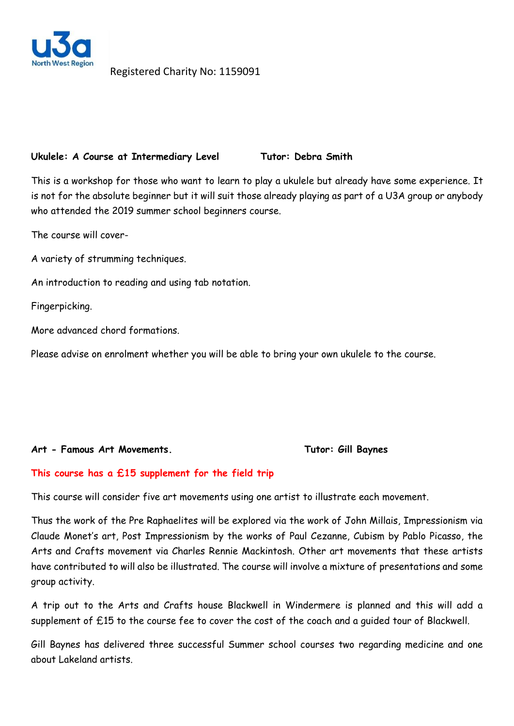

Registered Charity No: 1159091

### Ukulele: A Course at Intermediary Level Tutor: Debra Smith

This is a workshop for those who want to learn to play a ukulele but already have some experience. It is not for the absolute beginner but it will suit those already playing as part of a U3A group or anybody who attended the 2019 summer school beginners course.

The course will cover-

A variety of strumming techniques.

An introduction to reading and using tab notation.

Fingerpicking.

More advanced chord formations.

Please advise on enrolment whether you will be able to bring your own ukulele to the course.

### Art - Famous Art Movements. Tutor: Gill Baynes

### **This course has a £15 supplement for the field trip**

This course will consider five art movements using one artist to illustrate each movement.

Thus the work of the Pre Raphaelites will be explored via the work of John Millais, Impressionism via Claude Monet's art, Post Impressionism by the works of Paul Cezanne, Cubism by Pablo Picasso, the Arts and Crafts movement via Charles Rennie Mackintosh. Other art movements that these artists have contributed to will also be illustrated. The course will involve a mixture of presentations and some group activity.

A trip out to the Arts and Crafts house Blackwell in Windermere is planned and this will add a supplement of £15 to the course fee to cover the cost of the coach and a guided tour of Blackwell.

Gill Baynes has delivered three successful Summer school courses two regarding medicine and one about Lakeland artists.